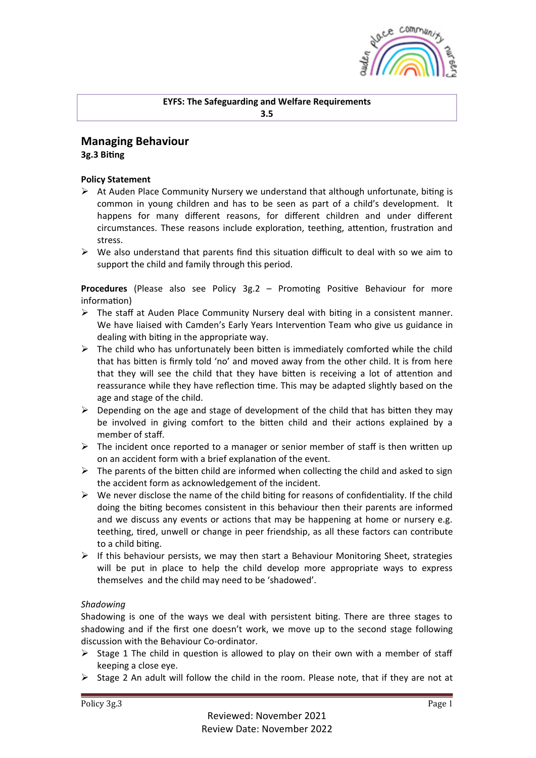

# **Managing Behaviour 3g.3** Biting

### **Policy Statement**

- $\triangleright$  At Auden Place Community Nursery we understand that although unfortunate, biting is common in young children and has to be seen as part of a child's development. It happens for many different reasons, for different children and under different circumstances. These reasons include exploration, teething, attention, frustration and stress.
- $\triangleright$  We also understand that parents find this situation difficult to deal with so we aim to support the child and family through this period.

**Procedures** (Please also see Policy 3g.2 – Promoting Positive Behaviour for more information)

- $\triangleright$  The staff at Auden Place Community Nursery deal with biting in a consistent manner. We have liaised with Camden's Early Years Intervention Team who give us guidance in dealing with biting in the appropriate way.
- $\triangleright$  The child who has unfortunately been bitten is immediately comforted while the child that has bitten is firmly told 'no' and moved away from the other child. It is from here that they will see the child that they have bitten is receiving a lot of attention and reassurance while they have reflection time. This may be adapted slightly based on the age and stage of the child.
- $\triangleright$  Depending on the age and stage of development of the child that has bitten they may be involved in giving comfort to the bitten child and their actions explained by a member of staff.
- $\triangleright$  The incident once reported to a manager or senior member of staff is then written up on an accident form with a brief explanation of the event.
- $\triangleright$  The parents of the bitten child are informed when collecting the child and asked to sign the accident form as acknowledgement of the incident.
- $\triangleright$  We never disclose the name of the child biting for reasons of confidentiality. If the child doing the biting becomes consistent in this behaviour then their parents are informed and we discuss any events or actions that may be happening at home or nursery e.g. teething, tired, unwell or change in peer friendship, as all these factors can contribute to a child biting.
- $\triangleright$  If this behaviour persists, we may then start a Behaviour Monitoring Sheet, strategies will be put in place to help the child develop more appropriate ways to express themselves and the child may need to be 'shadowed'.

#### *Shadowing*

Shadowing is one of the ways we deal with persistent biting. There are three stages to shadowing and if the first one doesn't work, we move up to the second stage following discussion with the Behaviour Co-ordinator.

- $\triangleright$  Stage 1 The child in question is allowed to play on their own with a member of staff keeping a close eye.
- $\triangleright$  Stage 2 An adult will follow the child in the room. Please note, that if they are not at